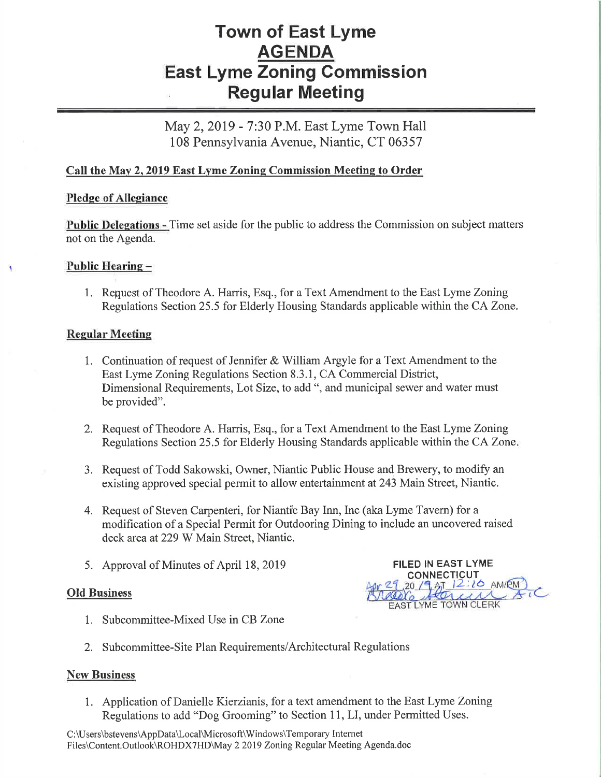# Town of East Lyme AGENDA East Lyme Zoning Commission Regular Meeting

May 2, 2019 - 7:30 P.M. East Lyme Town Hall 108 Pennsylvania Avenue, Niantic, CT 06357

# Call the May 2, 2019 East Lyme Zoning Commission Meeting to Order

## Pledge of Allegiance

Public Delegations - Time set aside for the public to address the Commission on subject matters not on the Agenda.

## Public Hearing -

1. Request of Theodore A. Harris, Esq., for a Text Amendment to the East Lyme Zoning Regulations Section 25.5 for Elderly Housing Standards applicable within the CA Zone.

#### Regular Meetins

- 1. Continuation of request of Jennifer & William Argyle for a Text Amendment to the East Lyme Zoning Regulations Section 8.3.1, CA Commercial District, Dimensional Requirements, Lot Size, to add", and municipal sewer and water must be provided".
- 2. Request of Theodore A. Harris, Esq., for a Text Amendment to the East Lyme Zoning Regulations Section 25.5 for Elderly Housing Standards applicable within the CA Zone
- 3. Request of Todd Sakowski, Owner, Niantic Public House and Brewery, to modify an existing approved special permit to allow entertainment at 243 Main Street, Niantic.
- 4. Request of Steven Carpenteri, for Niantic Bay Inn, Inc (aka Lyme Tavern) for a modification of a Special Permit for Outdooring Dining to include an uncovered raised deck area at229 W Main Street, Niantic.
- 

# Old Business

5. Approval of Minutes of April 18, 2019<br>
FILED IN EAST LYME  $2216$  AM/EM EAST LYME TOWN CLERK

- 1. Subcommittee-Mixed Use in CB Zone
- 2. Subcommittee-Site Plan Requirements/Architectural Regulations

#### **New Business**

1. Application of Danielle Kierzianis, for a text amendment to the East Lyme Zoning Regulations to add "Dog Grooming" to Section 11, LI, under Permitted Uses.

<sup>C</sup>:\U sers\bstevens\AppData\Local\Microsoft\Windows\Temporary Intemet Files\Content.Outlook\ROHDXTHD\May 2 2019 Zoning Regular Meeting Agenda.doc